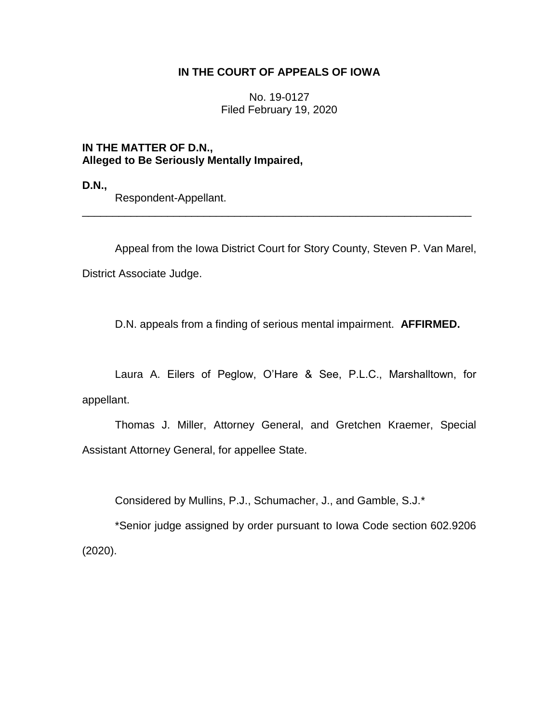## **IN THE COURT OF APPEALS OF IOWA**

No. 19-0127 Filed February 19, 2020

**IN THE MATTER OF D.N., Alleged to Be Seriously Mentally Impaired,**

**D.N.,**

Respondent-Appellant.

Appeal from the Iowa District Court for Story County, Steven P. Van Marel, District Associate Judge.

\_\_\_\_\_\_\_\_\_\_\_\_\_\_\_\_\_\_\_\_\_\_\_\_\_\_\_\_\_\_\_\_\_\_\_\_\_\_\_\_\_\_\_\_\_\_\_\_\_\_\_\_\_\_\_\_\_\_\_\_\_\_\_\_

D.N. appeals from a finding of serious mental impairment. **AFFIRMED.**

Laura A. Eilers of Peglow, O'Hare & See, P.L.C., Marshalltown, for appellant.

Thomas J. Miller, Attorney General, and Gretchen Kraemer, Special Assistant Attorney General, for appellee State.

Considered by Mullins, P.J., Schumacher, J., and Gamble, S.J.\*

\*Senior judge assigned by order pursuant to Iowa Code section 602.9206 (2020).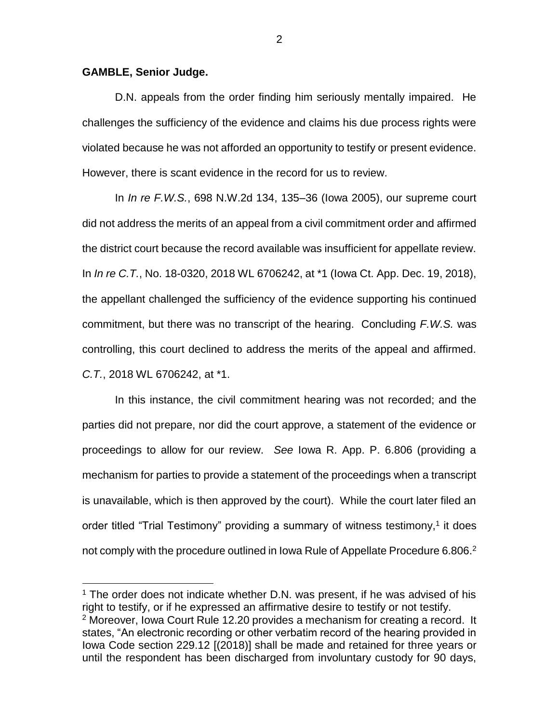## **GAMBLE, Senior Judge.**

 $\overline{a}$ 

D.N. appeals from the order finding him seriously mentally impaired. He challenges the sufficiency of the evidence and claims his due process rights were violated because he was not afforded an opportunity to testify or present evidence. However, there is scant evidence in the record for us to review.

In *In re F.W.S.*, 698 N.W.2d 134, 135–36 (Iowa 2005), our supreme court did not address the merits of an appeal from a civil commitment order and affirmed the district court because the record available was insufficient for appellate review. In *In re C.T.*, No. 18-0320, 2018 WL 6706242, at \*1 (Iowa Ct. App. Dec. 19, 2018), the appellant challenged the sufficiency of the evidence supporting his continued commitment, but there was no transcript of the hearing. Concluding *F.W.S.* was controlling, this court declined to address the merits of the appeal and affirmed. *C.T.*, 2018 WL 6706242, at \*1.

In this instance, the civil commitment hearing was not recorded; and the parties did not prepare, nor did the court approve, a statement of the evidence or proceedings to allow for our review. *See* Iowa R. App. P. 6.806 (providing a mechanism for parties to provide a statement of the proceedings when a transcript is unavailable, which is then approved by the court). While the court later filed an order titled "Trial Testimony" providing a summary of witness testimony,<sup>1</sup> it does not comply with the procedure outlined in Iowa Rule of Appellate Procedure 6.806. $^2$ 

<sup>1</sup> The order does not indicate whether D.N. was present, if he was advised of his right to testify, or if he expressed an affirmative desire to testify or not testify.  $2$  Moreover, Iowa Court Rule 12.20 provides a mechanism for creating a record. It states, "An electronic recording or other verbatim record of the hearing provided in Iowa Code section 229.12 [(2018)] shall be made and retained for three years or until the respondent has been discharged from involuntary custody for 90 days,